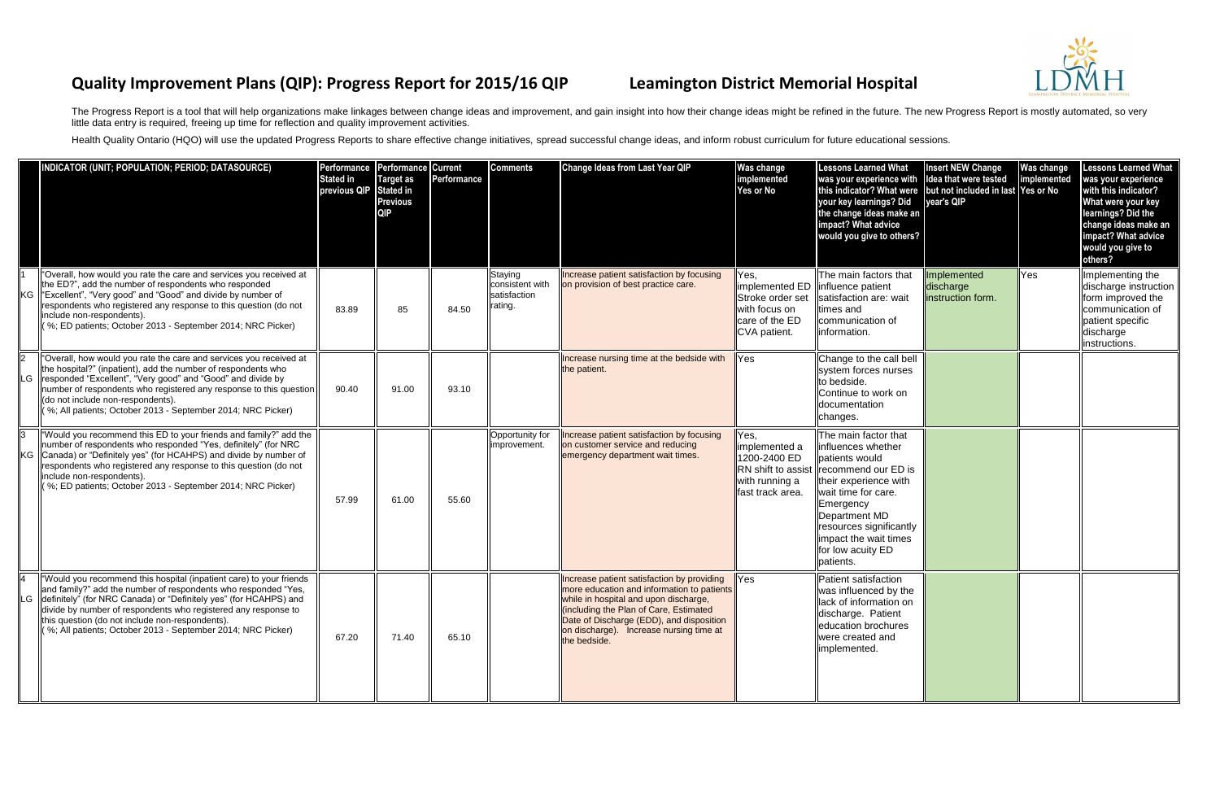## **Quality Improvement Plans (QIP): Progress Report for 2015/16 QIP Leamington District Memorial Hospital**

The Progress Report is a tool that will help organizations make linkages between change ideas and improvement, and gain insight into how their change ideas might be refined in the future. The new Progress Report is mostly little data entry is required, freeing up time for reflection and quality improvement activities.

Health Quality Ontario (HQO) will use the updated Progress Reports to share effective change initiatives, spread successful change ideas, and inform robust curriculum for future educational sessions.

| NDICATOR (UNIT; POPULATION; PERIOD; DATASOURCE)                                                                                                                                                                                                                                                                                                                                                     | Performance Performance Current<br><b>Stated in</b><br>previous QIP | <b>Target as</b><br><b>Stated in</b><br><b>Previous</b><br><b>QIP</b> | Performance | <b>Comments</b>                                       | <b>Change Ideas from Last Year QIP</b>                                                                                                                                                                                                                                             | Was change<br>implemented<br>Yes or No                                      | <b>Lessons Learned What</b><br>was your experience with<br>this indicator? What were but not included in last Yes or No<br>your key learnings? Did<br>the change ideas make an<br>impact? What advice<br>would you give to others?                                           | <b>Insert NEW Change</b><br>Idea that were tested<br>year's QIP | <b>Was change</b><br>implemented | <b>Lessons Learned What</b><br>was your experience<br>with this indicator?<br>What were your key<br>learnings? Did the<br>change ideas make an<br>impact? What advice<br>would you give to<br>others? |
|-----------------------------------------------------------------------------------------------------------------------------------------------------------------------------------------------------------------------------------------------------------------------------------------------------------------------------------------------------------------------------------------------------|---------------------------------------------------------------------|-----------------------------------------------------------------------|-------------|-------------------------------------------------------|------------------------------------------------------------------------------------------------------------------------------------------------------------------------------------------------------------------------------------------------------------------------------------|-----------------------------------------------------------------------------|------------------------------------------------------------------------------------------------------------------------------------------------------------------------------------------------------------------------------------------------------------------------------|-----------------------------------------------------------------|----------------------------------|-------------------------------------------------------------------------------------------------------------------------------------------------------------------------------------------------------|
| 'Overall, how would you rate the care and services you received at<br>the ED?", add the number of respondents who responded<br>KG Fxcellent", "Very good" and "Good" and divide by number of<br>respondents who registered any response to this question (do not<br>include non-respondents).<br>(%; ED patients; October 2013 - September 2014; NRC Picker)                                        | 83.89                                                               | 85                                                                    | 84.50       | Staying<br>consistent with<br>satisfaction<br>rating. | Increase patient satisfaction by focusing<br>on provision of best practice care.                                                                                                                                                                                                   | Yes,<br>Stroke order set<br>with focus on<br>care of the ED<br>CVA patient. | The main factors that<br>implemented ED linfluence patient<br>satisfaction are: wait<br>times and<br>communication of<br>linformation.                                                                                                                                       | Implemented<br>discharge<br>instruction form.                   | Yes                              | Implementing the<br>discharge instruction<br>form improved the<br>communication of<br>patient specific<br>discharge<br>instructions.                                                                  |
| "Overall, how would you rate the care and services you received at<br>the hospital?" (inpatient), add the number of respondents who<br>LG   responded "Excellent", "Very good" and "Good" and divide by<br>number of respondents who registered any response to this question<br>(do not include non-respondents).<br>(%; All patients; October 2013 - September 2014; NRC Picker)                  | 90.40                                                               | 91.00                                                                 | 93.10       |                                                       | Increase nursing time at the bedside with<br>the patient.                                                                                                                                                                                                                          | Yes                                                                         | Change to the call bell<br>system forces nurses<br>to bedside.<br><b>Continue to work on</b><br>documentation<br>changes.                                                                                                                                                    |                                                                 |                                  |                                                                                                                                                                                                       |
| "Would you recommend this ED to your friends and family?" add the<br>number of respondents who responded "Yes, definitely" (for NRC<br>KG Canada) or "Definitely yes" (for HCAHPS) and divide by number of<br>respondents who registered any response to this question (do not<br>include non-respondents).<br>(%; ED patients; October 2013 - September 2014; NRC Picker)                          | 57.99                                                               | 61.00                                                                 | 55.60       | Opportunity for<br>improvement.                       | Increase patient satisfaction by focusing<br>on customer service and reducing<br>emergency department wait times.                                                                                                                                                                  | Yes,<br>implemented a<br>1200-2400 ED<br>with running a<br>fast track area. | The main factor that<br>influences whether<br>patients would<br>RN shift to assist   recommend our ED is<br>their experience with<br>wait time for care.<br>Emergency<br>Department MD<br>resources significantly<br>impact the wait times<br>for low acuity ED<br>patients. |                                                                 |                                  |                                                                                                                                                                                                       |
| 'Would you recommend this hospital (inpatient care) to your friends<br>and family?" add the number of respondents who responded "Yes,<br>LG  definitely" (for NRC Canada) or "Definitely yes" (for HCAHPS) and<br>divide by number of respondents who registered any response to<br>this question (do not include non-respondents).<br>(%; All patients; October 2013 - September 2014; NRC Picker) | 67.20                                                               | 71.40                                                                 | 65.10       |                                                       | Increase patient satisfaction by providing<br>more education and information to patients<br>while in hospital and upon discharge,<br>lincluding the Plan of Care, Estimated<br>Date of Discharge (EDD), and disposition<br>on discharge). Increase nursing time at<br>the bedside. | Yes                                                                         | Patient satisfaction<br>was influenced by the<br>lack of information on<br>discharge. Patient<br>education brochures<br>were created and<br>limplemented.                                                                                                                    |                                                                 |                                  |                                                                                                                                                                                                       |

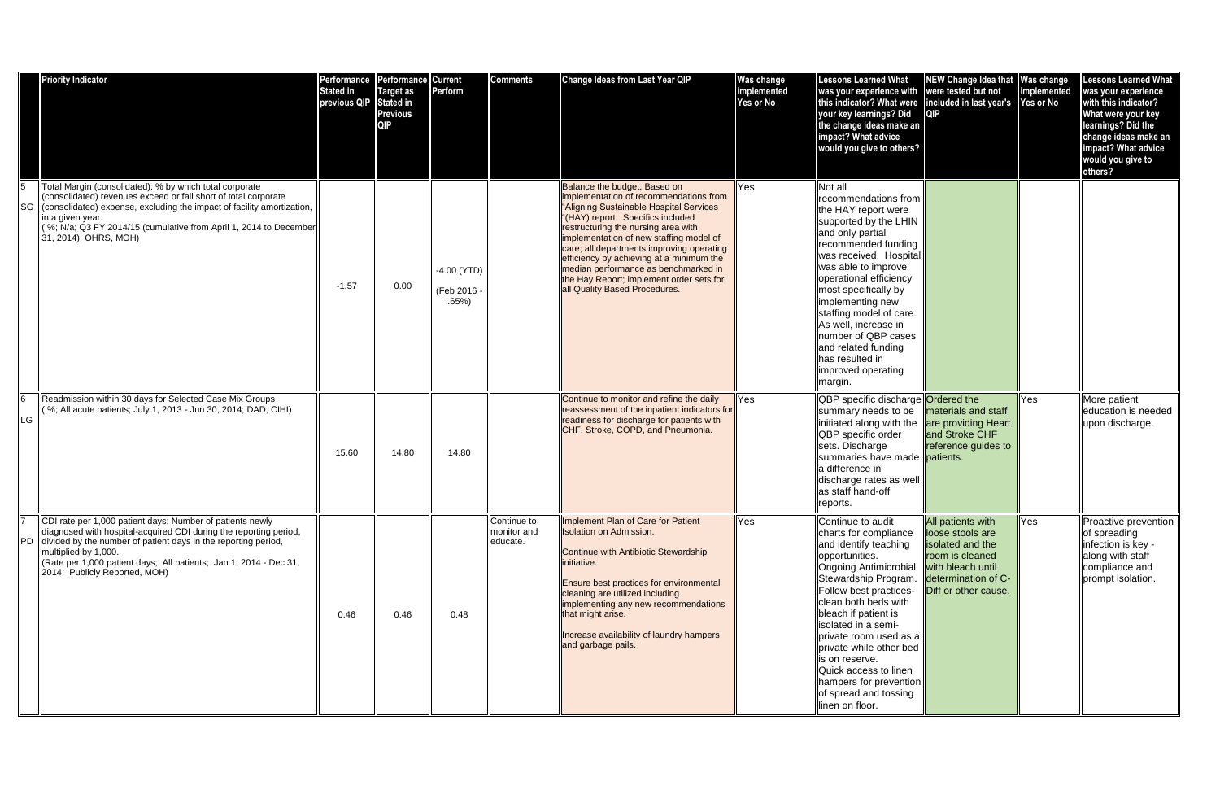|           | <b>Priority Indicator</b>                                                                                                                                                                                                                                                                                                               | Performance<br><b>Stated in</b><br>previous QIP | Performance Current<br><b>Target as</b><br>Stated in<br><b>Previous</b><br><b>QIP</b> | Perform                              | <b>Comments</b>                        | Change Ideas from Last Year QIP                                                                                                                                                                                                                                                                                                                                                                                                                       | Was change<br>implemented<br>Yes or No | <b>Lessons Learned What</b><br>was your experience with<br>this indicator? What were<br>your key learnings? Did<br>the change ideas make an<br>impact? What advice<br>would you give to others?                                                                                                                                                                                                                        | NEW Change Idea that Was change<br>were tested but not<br>included in last year's                                                                       | implemented<br>Yes or No | <b>Lessons Learned What</b><br>was your experience<br>with this indicator?<br>What were your key<br>learnings? Did the<br>change ideas make an<br>impact? What advice<br>would you give to<br>others? |
|-----------|-----------------------------------------------------------------------------------------------------------------------------------------------------------------------------------------------------------------------------------------------------------------------------------------------------------------------------------------|-------------------------------------------------|---------------------------------------------------------------------------------------|--------------------------------------|----------------------------------------|-------------------------------------------------------------------------------------------------------------------------------------------------------------------------------------------------------------------------------------------------------------------------------------------------------------------------------------------------------------------------------------------------------------------------------------------------------|----------------------------------------|------------------------------------------------------------------------------------------------------------------------------------------------------------------------------------------------------------------------------------------------------------------------------------------------------------------------------------------------------------------------------------------------------------------------|---------------------------------------------------------------------------------------------------------------------------------------------------------|--------------------------|-------------------------------------------------------------------------------------------------------------------------------------------------------------------------------------------------------|
| <b>SG</b> | Total Margin (consolidated): % by which total corporate<br>(consolidated) revenues exceed or fall short of total corporate<br>Consolidated) expense, excluding the impact of facility amortization,<br>lin a given year.<br>(%; N/a; Q3 FY 2014/15 (cumulative from April 1, 2014 to December<br>$\parallel$ 31, 2014); OHRS, MOH)      | $-1.57$                                         | 0.00                                                                                  | $-4.00$ (YTD)<br>(Feb 2016 -<br>.65% |                                        | Balance the budget. Based on<br>implementation of recommendations from<br>"Aligning Sustainable Hospital Services<br>(HAY) report. Specifics included<br>restructuring the nursing area with<br>implementation of new staffing model of<br>care; all departments improving operating<br>efficiency by achieving at a minimum the<br>median performance as benchmarked in<br>the Hay Report; implement order sets for<br>all Quality Based Procedures. | Yes                                    | Not all<br>recommendations from<br>the HAY report were<br>supported by the LHIN<br>and only partial<br>recommended funding<br>was received. Hospital<br>was able to improve<br>operational efficiency<br>most specifically by<br>implementing new<br>staffing model of care.<br>As well, increase in<br>number of QBP cases<br>and related funding<br>lhas resulted in<br>limproved operating<br>margin.               |                                                                                                                                                         |                          |                                                                                                                                                                                                       |
| ∥LG       | Readmission within 30 days for Selected Case Mix Groups<br>(%; All acute patients; July 1, 2013 - Jun 30, 2014; DAD, CIHI)                                                                                                                                                                                                              | 15.60                                           | 14.80                                                                                 | 14.80                                |                                        | Continue to monitor and refine the daily<br>reassessment of the inpatient indicators for<br>readiness for discharge for patients with<br>CHF, Stroke, COPD, and Pneumonia.                                                                                                                                                                                                                                                                            | Yes                                    | QBP specific discharge <b>Ordered the</b><br>summary needs to be<br>initiated along with the are providing Heart<br><b>QBP</b> specific order<br>sets. Discharge<br>summaries have made patients.<br>la difference in<br>discharge rates as well<br>as staff hand-off<br>reports.                                                                                                                                      | materials and staff<br>and Stroke CHF<br>reference guides to                                                                                            | Yes                      | More patient<br>education is needed<br>upon discharge.                                                                                                                                                |
|           | CDI rate per 1,000 patient days: Number of patients newly<br>diagnosed with hospital-acquired CDI during the reporting period,<br>  PD   divided by the number of patient days in the reporting period,<br>multiplied by 1,000.<br>  (Rate per 1,000 patient days; All patients; Jan 1, 2014 - Dec 31,<br>2014; Publicly Reported, MOH) | 0.46                                            | 0.46                                                                                  | 0.48                                 | Continue to<br>monitor and<br>educate. | Implement Plan of Care for Patient<br><b>Isolation on Admission.</b><br>Continue with Antibiotic Stewardship<br>initiative.<br><b>Ensure best practices for environmental</b><br>cleaning are utilized including<br>implementing any new recommendations<br>that might arise.<br>Increase availability of laundry hampers<br>and garbage pails.                                                                                                       | <b>Yes</b>                             | Continue to audit<br>charts for compliance<br>and identify teaching<br>opportunities.<br><b>Ongoing Antimicrobial</b><br>Stewardship Program.<br>Follow best practices-<br>clean both beds with<br>bleach if patient is<br>lisolated in a semi-<br>private room used as a<br>private while other bed<br>lis on reserve.<br>Quick access to linen<br>hampers for prevention<br>of spread and tossing<br>linen on floor. | <b>All patients with</b><br>loose stools are<br>isolated and the<br>room is cleaned<br>with bleach until<br>determination of C-<br>Diff or other cause. | Yes                      | Proactive prevention  <br>of spreading<br>infection is key -<br>along with staff<br>compliance and<br>prompt isolation.                                                                               |